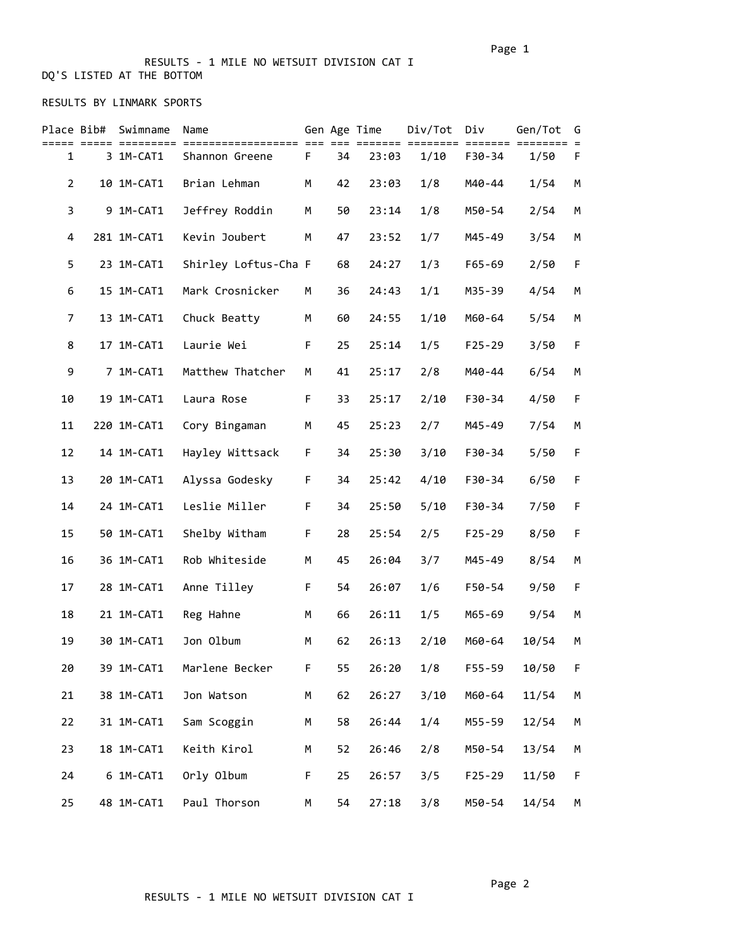#### RESULTS - 1 MILE NO WETSUIT DIVISION CAT I DQ'S LISTED AT THE BOTTOM

### RESULTS BY LINMARK SPORTS

| Place Bib#     | Swimname<br>========= | Name<br>================== |   |    | Gen Age Time<br>≔≔≕ | Div/Tot<br>:==== | Div<br>======= | Gen/Tot | G<br>$\equiv$ |
|----------------|-----------------------|----------------------------|---|----|---------------------|------------------|----------------|---------|---------------|
| $\mathbf{1}$   | 3 1M-CAT1             | Shannon Greene             | F | 34 | 23:03               | 1/10             | F30-34         | 1/50    | F             |
| $\overline{2}$ | 10 1M-CAT1            | Brian Lehman               | М | 42 | 23:03               | 1/8              | M40-44         | 1/54    | М             |
| 3              | 9 1M-CAT1             | Jeffrey Roddin             | М | 50 | 23:14               | 1/8              | M50-54         | 2/54    | М             |
| 4              | 281 1M-CAT1           | Kevin Joubert              | М | 47 | 23:52               | 1/7              | M45-49         | 3/54    | М             |
| 5              | 23 1M-CAT1            | Shirley Loftus-Cha F       |   | 68 | 24:27               | 1/3              | F65-69         | 2/50    | F             |
| 6              | 15 1M-CAT1            | Mark Crosnicker            | М | 36 | 24:43               | 1/1              | M35-39         | 4/54    | М             |
| 7              | 13 1M-CAT1            | Chuck Beatty               | М | 60 | 24:55               | 1/10             | M60-64         | 5/54    | М             |
| 8              | 17 1M-CAT1            | Laurie Wei                 | F | 25 | 25:14               | 1/5              | $F25 - 29$     | 3/50    | F             |
| 9              | 7 1M-CAT1             | Matthew Thatcher           | М | 41 | 25:17               | 2/8              | M40-44         | 6/54    | М             |
| 10             | 19 1M-CAT1            | Laura Rose                 | F | 33 | 25:17               | 2/10             | F30-34         | 4/50    | F             |
| 11             | 220 1M-CAT1           | Cory Bingaman              | M | 45 | 25:23               | 2/7              | M45-49         | 7/54    | М             |
| 12             | 14 1M-CAT1            | Hayley Wittsack            | F | 34 | 25:30               | 3/10             | F30-34         | 5/50    | F             |
| 13             | 20 1M-CAT1            | Alyssa Godesky             | F | 34 | 25:42               | 4/10             | F30-34         | 6/50    | F             |
| 14             | 24 1M-CAT1            | Leslie Miller              | F | 34 | 25:50               | 5/10             | F30-34         | 7/50    | F             |
| 15             | 50 1M-CAT1            | Shelby Witham              | F | 28 | 25:54               | 2/5              | $F25 - 29$     | 8/50    | F             |
| 16             | 36 1M-CAT1            | Rob Whiteside              | М | 45 | 26:04               | 3/7              | M45-49         | 8/54    | M             |
| 17             | 28 1M-CAT1            | Anne Tilley                | F | 54 | 26:07               | 1/6              | F50-54         | 9/50    | F             |
| 18             | 21 1M-CAT1            | Reg Hahne                  | М | 66 | 26:11               | 1/5              | M65-69         | 9/54    | М             |
| 19             | 30 1M-CAT1            | Jon Olbum                  | M | 62 | 26:13               | 2/10             | M60-64         | 10/54   | М             |
| 20             | 39 1M-CAT1            | Marlene Becker             | F | 55 | 26:20               | 1/8              | $F55 - 59$     | 10/50   | F             |
| 21             | 38 1M-CAT1            | Jon Watson                 | М | 62 | 26:27               | 3/10             | M60-64         | 11/54   | М             |
| 22             | 31 1M-CAT1            | Sam Scoggin                | М | 58 | 26:44               | 1/4              | M55-59         | 12/54   | М             |
| 23             | 18 1M-CAT1            | Keith Kirol                | М | 52 | 26:46               | 2/8              | M50-54         | 13/54   | М             |
| 24             | 6 1M-CAT1             | Orly Olbum                 | F | 25 | 26:57               | 3/5              | $F25 - 29$     | 11/50   | F             |
| 25             | 48 1M-CAT1            | Paul Thorson               | М | 54 | 27:18               | 3/8              | M50-54         | 14/54   | М             |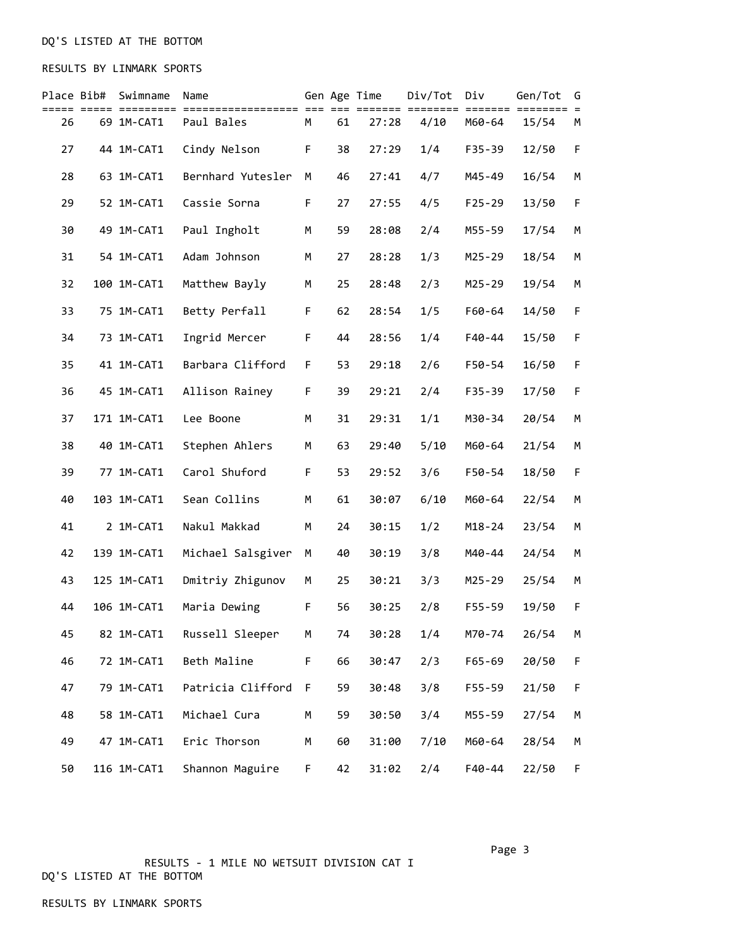# DQ'S LISTED AT THE BOTTOM

## RESULTS BY LINMARK SPORTS

| Place Bib# | Swimname    | Name<br>===== ========= =================== === === |   |    | Gen Age Time | Div/Tot<br>======= ======== | Div        | Gen/Tot<br>======= ======== | G           |
|------------|-------------|-----------------------------------------------------|---|----|--------------|-----------------------------|------------|-----------------------------|-------------|
| 26         | 69 1M-CAT1  | Paul Bales                                          | M | 61 | 27:28        | 4/10                        | M60-64     | 15/54                       | М           |
| 27         | 44 1M-CAT1  | Cindy Nelson                                        | F | 38 | 27:29        | 1/4                         | F35-39     | 12/50                       | F           |
| 28         | 63 1M-CAT1  | Bernhard Yutesler                                   | М | 46 | 27:41        | 4/7                         | M45-49     | 16/54                       | М           |
| 29         | 52 1M-CAT1  | Cassie Sorna                                        | F | 27 | 27:55        | 4/5                         | $F25 - 29$ | 13/50                       | $\mathsf F$ |
| 30         | 49 1M-CAT1  | Paul Ingholt                                        | M | 59 | 28:08        | 2/4                         | M55-59     | 17/54                       | M           |
| 31         | 54 1M-CAT1  | Adam Johnson                                        | М | 27 | 28:28        | 1/3                         | M25-29     | 18/54                       | М           |
| 32         | 100 1M-CAT1 | Matthew Bayly                                       | М | 25 | 28:48        | 2/3                         | M25-29     | 19/54                       | М           |
| 33         | 75 1M-CAT1  | Betty Perfall                                       | F | 62 | 28:54        | 1/5                         | F60-64     | 14/50                       | F           |
| 34         | 73 1M-CAT1  | Ingrid Mercer                                       | F | 44 | 28:56        | 1/4                         | F40-44     | 15/50                       | F           |
| 35         | 41 1M-CAT1  | Barbara Clifford                                    | F | 53 | 29:18        | 2/6                         | F50-54     | 16/50                       | F           |
| 36         | 45 1M-CAT1  | Allison Rainey                                      | F | 39 | 29:21        | 2/4                         | F35-39     | 17/50                       | F           |
| 37         | 171 1M-CAT1 | Lee Boone                                           | М | 31 | 29:31        | 1/1                         | M30-34     | 20/54                       | М           |
| 38         | 40 1M-CAT1  | Stephen Ahlers                                      | М | 63 | 29:40        | 5/10                        | M60-64     | 21/54                       | M           |
| 39         | 77 1M-CAT1  | Carol Shuford                                       | F | 53 | 29:52        | 3/6                         | F50-54     | 18/50                       | F           |
| 40         | 103 1M-CAT1 | Sean Collins                                        | М | 61 | 30:07        | 6/10                        | M60-64     | 22/54                       | М           |
| 41         | 2 1M-CAT1   | Nakul Makkad                                        | M | 24 | 30:15        | 1/2                         | $M18 - 24$ | 23/54                       | М           |
| 42         | 139 1M-CAT1 | Michael Salsgiver                                   | М | 40 | 30:19        | 3/8                         | M40-44     | 24/54                       | M           |
| 43         | 125 1M-CAT1 | Dmitriy Zhigunov                                    | М | 25 | 30:21        | 3/3                         | M25-29     | 25/54                       | М           |
| 44         | 106 1M-CAT1 | Maria Dewing                                        | F | 56 | 30:25        | 2/8                         | F55-59     | 19/50                       | F           |
| 45         | 82 1M-CAT1  | Russell Sleeper                                     | M | 74 | 30:28        | 1/4                         | M70-74     | 26/54                       | М           |
| 46         | 72 1M-CAT1  | Beth Maline                                         | F | 66 | 30:47        | 2/3                         | $F65 - 69$ | 20/50                       | F           |
| 47         | 79 1M-CAT1  | Patricia Clifford                                   | F | 59 | 30:48        | 3/8                         | $F55 - 59$ | 21/50                       | F           |
| 48         | 58 1M-CAT1  | Michael Cura                                        | М | 59 | 30:50        | 3/4                         | M55-59     | 27/54                       | М           |
| 49         | 47 1M-CAT1  | Eric Thorson                                        | М | 60 | 31:00        | 7/10                        | M60-64     | 28/54                       | М           |
| 50         | 116 1M-CAT1 | Shannon Maguire                                     | F | 42 | 31:02        | 2/4                         | F40-44     | 22/50                       | F           |

 RESULTS - 1 MILE NO WETSUIT DIVISION CAT I DQ'S LISTED AT THE BOTTOM

Page 3 and 2012 and 2012 and 2012 and 2012 and 2012 and 2012 and 2012 and 2012 and 2012 and 2012 and 2012 and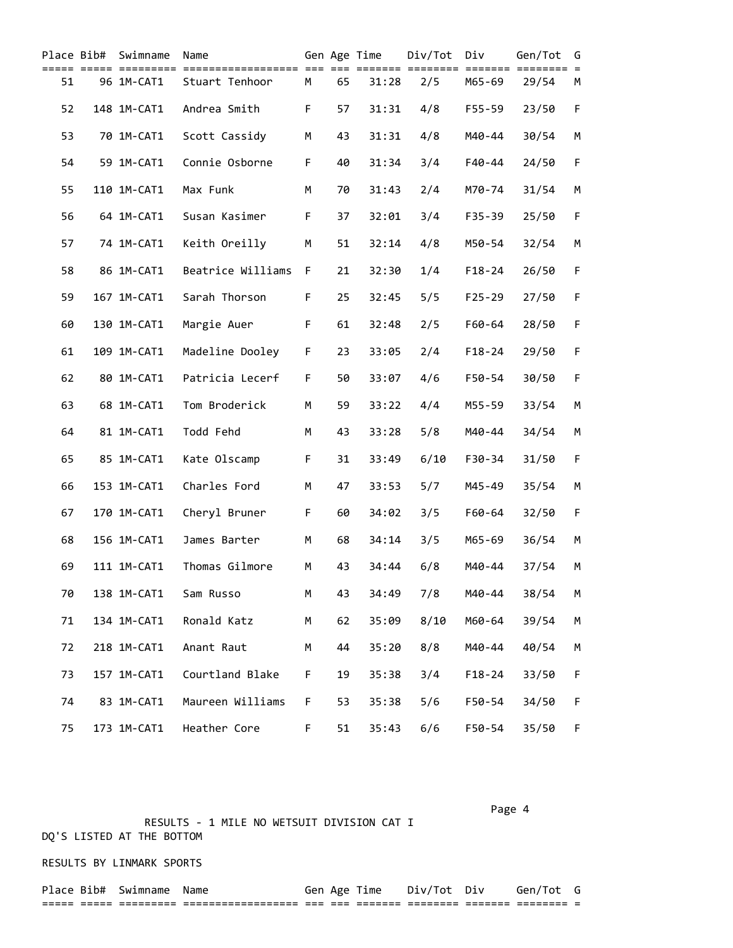| Place Bib# | Swimname    | Name              |    |    | Gen Age Time | Div/Tot               | Div        | Gen/Tot                   | G        |
|------------|-------------|-------------------|----|----|--------------|-----------------------|------------|---------------------------|----------|
| 51         | 96 1M-CAT1  | Stuart Tenhoor    | М  | 65 | 31:28        | ===== ========<br>2/5 | M65-69     | ======= ========<br>29/54 | $=$<br>М |
| 52         | 148 1M-CAT1 | Andrea Smith      | F  | 57 | 31:31        | 4/8                   | F55-59     | 23/50                     | F        |
| 53         | 70 1M-CAT1  | Scott Cassidy     | М  | 43 | 31:31        | 4/8                   | M40-44     | 30/54                     | М        |
| 54         | 59 1M-CAT1  | Connie Osborne    | F  | 40 | 31:34        | 3/4                   | $F40 - 44$ | 24/50                     | F        |
| 55         | 110 1M-CAT1 | Max Funk          | M  | 70 | 31:43        | 2/4                   | M70-74     | 31/54                     | М        |
| 56         | 64 1M-CAT1  | Susan Kasimer     | F. | 37 | 32:01        | 3/4                   | F35-39     | 25/50                     | F        |
| 57         | 74 1M-CAT1  | Keith Oreilly     | М  | 51 | 32:14        | 4/8                   | M50-54     | 32/54                     | М        |
| 58         | 86 1M-CAT1  | Beatrice Williams | F  | 21 | 32:30        | 1/4                   | $F18 - 24$ | 26/50                     | F        |
| 59         | 167 1M-CAT1 | Sarah Thorson     | F  | 25 | 32:45        | 5/5                   | $F25 - 29$ | 27/50                     | F        |
| 60         | 130 1M-CAT1 | Margie Auer       | F  | 61 | 32:48        | 2/5                   | F60-64     | 28/50                     | F        |
| 61         | 109 1M-CAT1 | Madeline Dooley   | F  | 23 | 33:05        | 2/4                   | $F18 - 24$ | 29/50                     | F        |
| 62         | 80 1M-CAT1  | Patricia Lecerf   | F  | 50 | 33:07        | 4/6                   | F50-54     | 30/50                     | F        |
| 63         | 68 1M-CAT1  | Tom Broderick     | M  | 59 | 33:22        | 4/4                   | M55-59     | 33/54                     | М        |
| 64         | 81 1M-CAT1  | Todd Fehd         | M  | 43 | 33:28        | 5/8                   | M40-44     | 34/54                     | М        |
| 65         | 85 1M-CAT1  | Kate Olscamp      | F  | 31 | 33:49        | 6/10                  | F30-34     | 31/50                     | F        |
| 66         | 153 1M-CAT1 | Charles Ford      | M  | 47 | 33:53        | 5/7                   | M45-49     | 35/54                     | М        |
| 67         | 170 1M-CAT1 | Cheryl Bruner     | F  | 60 | 34:02        | 3/5                   | F60-64     | 32/50                     | F        |
| 68         | 156 1M-CAT1 | James Barter      | M  | 68 | 34:14        | 3/5                   | M65-69     | 36/54                     | М        |
| 69         | 111 1M-CAT1 | Thomas Gilmore    | М  | 43 | 34:44        | 6/8                   | M40-44     | 37/54                     | М        |
| 70         | 138 1M-CAT1 | Sam Russo         | М  | 43 | 34:49        | 7/8                   | M40-44     | 38/54                     | М        |
| 71         | 134 1M-CAT1 | Ronald Katz       | М  | 62 | 35:09        | 8/10                  | M60-64     | 39/54                     | М        |
| 72         | 218 1M-CAT1 | Anant Raut        | М  | 44 | 35:20        | 8/8                   | M40-44     | 40/54                     | М        |
| 73         | 157 1M-CAT1 | Courtland Blake   | F. | 19 | 35:38        | 3/4                   | $F18 - 24$ | 33/50                     | F        |
| 74         | 83 1M-CAT1  | Maureen Williams  | F. | 53 | 35:38        | 5/6                   | F50-54     | 34/50                     | F        |
| 75         | 173 1M-CAT1 | Heather Core      | F  | 51 | 35:43        | 6/6                   | F50-54     | 35/50                     | F        |

Page 4 and the state of the state of the state of the state of the state of the state of the state of the state of the state of the state of the state of the state of the state of the state of the state of the state of the

 RESULTS - 1 MILE NO WETSUIT DIVISION CAT I DQ'S LISTED AT THE BOTTOM

RESULTS BY LINMARK SPORTS

| <b>Place</b> | : Bib#          | Swimname                | Name                                     | $\sim$ |            | ime                 | $-1$<br>. א רנ       | - -                 |                      |  |
|--------------|-----------------|-------------------------|------------------------------------------|--------|------------|---------------------|----------------------|---------------------|----------------------|--|
| ___<br>_____ | _____<br>______ | _________<br>__________ | __________________<br>__________________ | ___    | ___<br>___ | _______<br>________ | ________<br>-------- | _______<br>________ | ________<br>-------- |  |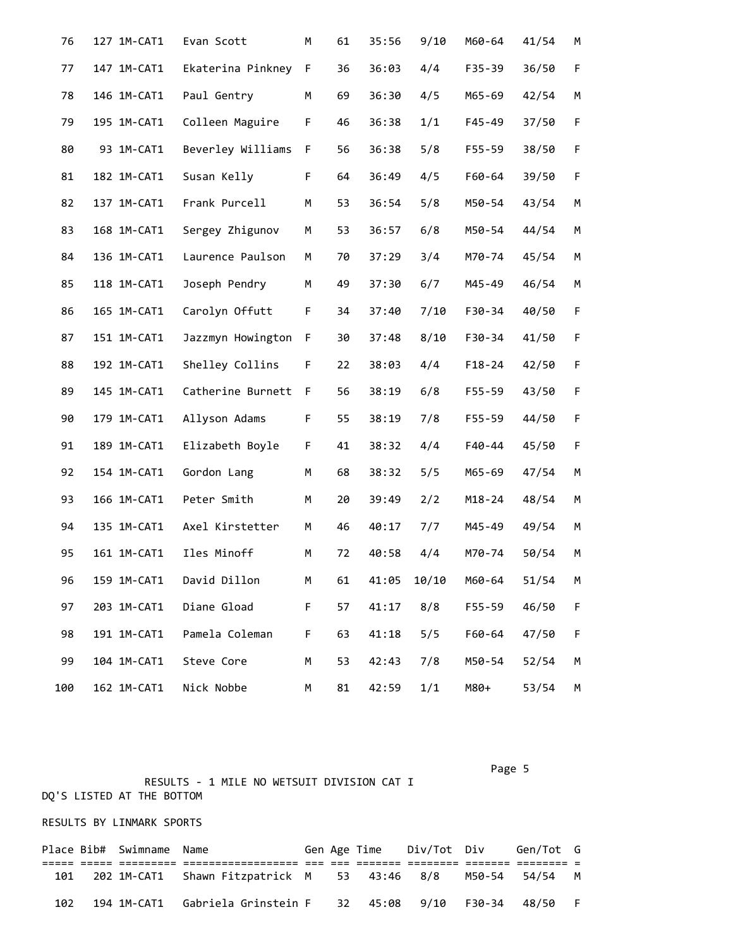| 76  | 127 1M-CAT1 | Evan Scott        | М | 61 | 35:56 | 9/10  | M60-64     | 41/54 | М |
|-----|-------------|-------------------|---|----|-------|-------|------------|-------|---|
| 77  | 147 1M-CAT1 | Ekaterina Pinkney | F | 36 | 36:03 | 4/4   | F35-39     | 36/50 | F |
| 78  | 146 1M-CAT1 | Paul Gentry       | М | 69 | 36:30 | 4/5   | M65-69     | 42/54 | М |
| 79  | 195 1M-CAT1 | Colleen Maguire   | F | 46 | 36:38 | 1/1   | F45-49     | 37/50 | F |
| 80  | 93 1M-CAT1  | Beverley Williams | F | 56 | 36:38 | 5/8   | F55-59     | 38/50 | F |
| 81  | 182 1M-CAT1 | Susan Kelly       | F | 64 | 36:49 | 4/5   | F60-64     | 39/50 | F |
| 82  | 137 1M-CAT1 | Frank Purcell     | M | 53 | 36:54 | 5/8   | M50-54     | 43/54 | M |
| 83  | 168 1M-CAT1 | Sergey Zhigunov   | M | 53 | 36:57 | 6/8   | M50-54     | 44/54 | M |
| 84  | 136 1M-CAT1 | Laurence Paulson  | М | 70 | 37:29 | 3/4   | M70-74     | 45/54 | M |
| 85  | 118 1M-CAT1 | Joseph Pendry     | М | 49 | 37:30 | 6/7   | M45-49     | 46/54 | М |
| 86  | 165 1M-CAT1 | Carolyn Offutt    | F | 34 | 37:40 | 7/10  | F30-34     | 40/50 | F |
| 87  | 151 1M-CAT1 | Jazzmyn Howington | F | 30 | 37:48 | 8/10  | F30-34     | 41/50 | F |
| 88  | 192 1M-CAT1 | Shelley Collins   | F | 22 | 38:03 | 4/4   | $F18 - 24$ | 42/50 | F |
| 89  | 145 1M-CAT1 | Catherine Burnett | F | 56 | 38:19 | 6/8   | F55-59     | 43/50 | F |
| 90  | 179 1M-CAT1 | Allyson Adams     | F | 55 | 38:19 | 7/8   | F55-59     | 44/50 | F |
| 91  | 189 1M-CAT1 | Elizabeth Boyle   | F | 41 | 38:32 | 4/4   | F40-44     | 45/50 | F |
| 92  | 154 1M-CAT1 | Gordon Lang       | М | 68 | 38:32 | 5/5   | M65-69     | 47/54 | М |
| 93  | 166 1M-CAT1 | Peter Smith       | M | 20 | 39:49 | 2/2   | $M18 - 24$ | 48/54 | М |
| 94  | 135 1M-CAT1 | Axel Kirstetter   | М | 46 | 40:17 | 7/7   | M45-49     | 49/54 | M |
| 95  | 161 1M-CAT1 | Iles Minoff       | M | 72 | 40:58 | 4/4   | M70-74     | 50/54 | М |
| 96  | 159 1M-CAT1 | David Dillon      | М | 61 | 41:05 | 10/10 | M60-64     | 51/54 | М |
| 97  | 203 1M-CAT1 | Diane Gload       | F | 57 | 41:17 | 8/8   | $F55 - 59$ | 46/50 | F |
| 98  | 191 1M-CAT1 | Pamela Coleman    | F | 63 | 41:18 | 5/5   | F60-64     | 47/50 | F |
| 99  | 104 1M-CAT1 | Steve Core        | М | 53 | 42:43 | 7/8   | M50-54     | 52/54 | М |
| 100 | 162 1M-CAT1 | Nick Nobbe        | М | 81 | 42:59 | 1/1   | M80+       | 53/54 | М |

 RESULTS - 1 MILE NO WETSUIT DIVISION CAT I DQ'S LISTED AT THE BOTTOM

## RESULTS BY LINMARK SPORTS

|     | Place Bib# Swimname Name |                                                               |  | Gen Age Time | Div/Tot Div |              | Gen/Tot G |  |
|-----|--------------------------|---------------------------------------------------------------|--|--------------|-------------|--------------|-----------|--|
|     |                          |                                                               |  |              |             |              |           |  |
| 101 |                          | 202 1M-CAT1 Shawn Fitzpatrick M 53 43:46 8/8                  |  |              |             | M50-54 54/54 |           |  |
| 102 |                          | 194 1M-CAT1 Gabriela Grinstein F 32 45:08 9/10 F30-34 48/50 F |  |              |             |              |           |  |

Page 5 and 2012 and 2012 and 2012 and 2012 and 2012 and 2012 and 2012 and 2012 and 2012 and 2012 and 2012 and